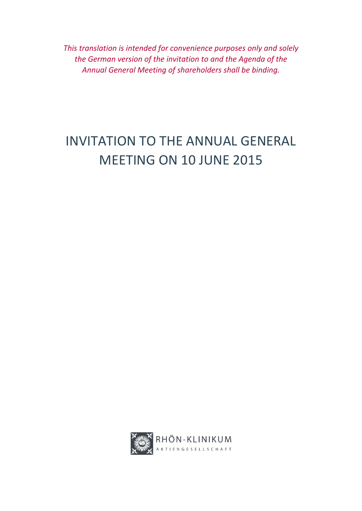*This translation is intended for convenience purposes only and solely the German version of the invitation to and the Agenda of the Annual General Meeting of shareholders shall be binding.*

# INVITATION TO THE ANNUAL GENERAL MEETING ON 10 JUNE 2015

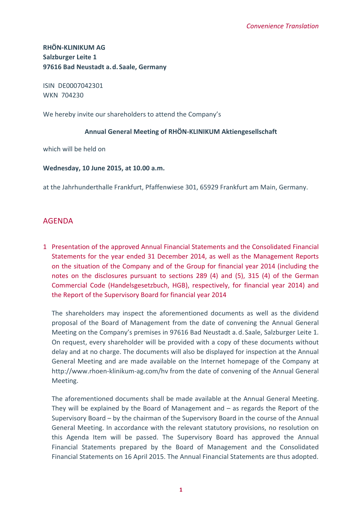**RHÖN‐KLINIKUM AG Salzburger Leite 1 97616 Bad Neustadt a.d.Saale, Germany**

ISIN DE0007042301 WKN 704230

We hereby invite our shareholders to attend the Company's

## **Annual General Meeting of RHÖN‐KLINIKUM Aktiengesellschaft**

which will be held on

**Wednesday, 10 June 2015, at 10.00 a.m.**

at the Jahrhunderthalle Frankfurt, Pfaffenwiese 301, 65929 Frankfurt am Main, Germany.

# AGENDA

1 Presentation of the approved Annual Financial Statements and the Consolidated Financial Statements for the year ended 31 December 2014, as well as the Management Reports on the situation of the Company and of the Group for financial year 2014 (including the notes on the disclosures pursuant to sections 289 (4) and (5), 315 (4) of the German Commercial Code (Handelsgesetzbuch, HGB), respectively, for financial year 2014) and the Report of the Supervisory Board for financial year 2014

The shareholders may inspect the aforementioned documents as well as the dividend proposal of the Board of Management from the date of convening the Annual General Meeting on the Company's premises in 97616 Bad Neustadt a.d.Saale, Salzburger Leite 1. On request, every shareholder will be provided with a copy of these documents without delay and at no charge. The documents will also be displayed for inspection at the Annual General Meeting and are made available on the Internet homepage of the Company at http://www.rhoen-klinikum-ag.com/hv from the date of convening of the Annual General Meeting.

The aforementioned documents shall be made available at the Annual General Meeting. They will be explained by the Board of Management and – as regards the Report of the Supervisory Board – by the chairman of the Supervisory Board in the course of the Annual General Meeting. In accordance with the relevant statutory provisions, no resolution on this Agenda Item will be passed. The Supervisory Board has approved the Annual Financial Statements prepared by the Board of Management and the Consolidated Financial Statements on 16 April 2015. The Annual Financial Statements are thus adopted.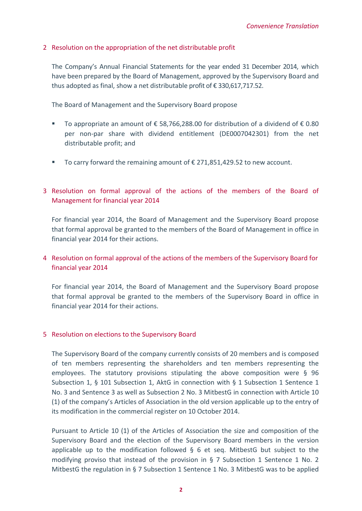## 2 Resolution on the appropriation of the net distributable profit

The Company's Annual Financial Statements for the year ended 31 December 2014, which have been prepared by the Board of Management, approved by the Supervisory Board and thus adopted as final, show a net distributable profit of € 330,617,717.52.

The Board of Management and the Supervisory Board propose

- To appropriate an amount of  $\epsilon$  58,766,288.00 for distribution of a dividend of  $\epsilon$  0.80 per non‐par share with dividend entitlement (DE0007042301) from the net distributable profit; and
- To carry forward the remaining amount of  $£$  271,851,429.52 to new account.

# 3 Resolution on formal approval of the actions of the members of the Board of Management for financial year 2014

For financial year 2014, the Board of Management and the Supervisory Board propose that formal approval be granted to the members of the Board of Management in office in financial year 2014 for their actions.

# 4 Resolution on formal approval of the actions of the members of the Supervisory Board for financial year 2014

For financial year 2014, the Board of Management and the Supervisory Board propose that formal approval be granted to the members of the Supervisory Board in office in financial year 2014 for their actions.

#### 5 Resolution on elections to the Supervisory Board

The Supervisory Board of the company currently consists of 20 members and is composed of ten members representing the shareholders and ten members representing the employees. The statutory provisions stipulating the above composition were § 96 Subsection 1, § 101 Subsection 1, AktG in connection with § 1 Subsection 1 Sentence 1 No. 3 and Sentence 3 as well as Subsection 2 No. 3 MitbestG in connection with Article 10 (1) of the company's Articles of Association in the old version applicable up to the entry of its modification in the commercial register on 10 October 2014.

Pursuant to Article 10 (1) of the Articles of Association the size and composition of the Supervisory Board and the election of the Supervisory Board members in the version applicable up to the modification followed § 6 et seq. MitbestG but subject to the modifying proviso that instead of the provision in § 7 Subsection 1 Sentence 1 No. 2 MitbestG the regulation in § 7 Subsection 1 Sentence 1 No. 3 MitbestG was to be applied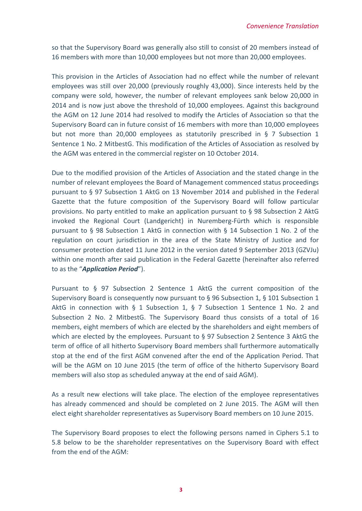so that the Supervisory Board was generally also still to consist of 20 members instead of 16 members with more than 10,000 employees but not more than 20,000 employees.

This provision in the Articles of Association had no effect while the number of relevant employees was still over 20,000 (previously roughly 43,000). Since interests held by the company were sold, however, the number of relevant employees sank below 20,000 in 2014 and is now just above the threshold of 10,000 employees. Against this background the AGM on 12 June 2014 had resolved to modify the Articles of Association so that the Supervisory Board can in future consist of 16 members with more than 10,000 employees but not more than 20,000 employees as statutorily prescribed in § 7 Subsection 1 Sentence 1 No. 2 MitbestG. This modification of the Articles of Association as resolved by the AGM was entered in the commercial register on 10 October 2014.

Due to the modified provision of the Articles of Association and the stated change in the number of relevant employees the Board of Management commenced status proceedings pursuant to § 97 Subsection 1 AktG on 13 November 2014 and published in the Federal Gazette that the future composition of the Supervisory Board will follow particular provisions. No party entitled to make an application pursuant to § 98 Subsection 2 AktG invoked the Regional Court (Landgericht) in Nuremberg‐Fürth which is responsible pursuant to § 98 Subsection 1 AktG in connection with § 14 Subsection 1 No. 2 of the regulation on court jurisdiction in the area of the State Ministry of Justice and for consumer protection dated 11 June 2012 in the version dated 9 September 2013 (GZVJu) within one month after said publication in the Federal Gazette (hereinafter also referred to as the "*Application Period*").

Pursuant to § 97 Subsection 2 Sentence 1 AktG the current composition of the Supervisory Board is consequently now pursuant to § 96 Subsection 1, § 101 Subsection 1 AktG in connection with § 1 Subsection 1, § 7 Subsection 1 Sentence 1 No. 2 and Subsection 2 No. 2 MitbestG. The Supervisory Board thus consists of a total of 16 members, eight members of which are elected by the shareholders and eight members of which are elected by the employees. Pursuant to § 97 Subsection 2 Sentence 3 AktG the term of office of all hitherto Supervisory Board members shall furthermore automatically stop at the end of the first AGM convened after the end of the Application Period. That will be the AGM on 10 June 2015 (the term of office of the hitherto Supervisory Board members will also stop as scheduled anyway at the end of said AGM).

As a result new elections will take place. The election of the employee representatives has already commenced and should be completed on 2 June 2015. The AGM will then elect eight shareholder representatives as Supervisory Board members on 10 June 2015.

The Supervisory Board proposes to elect the following persons named in Ciphers 5.1 to 5.8 below to be the shareholder representatives on the Supervisory Board with effect from the end of the AGM: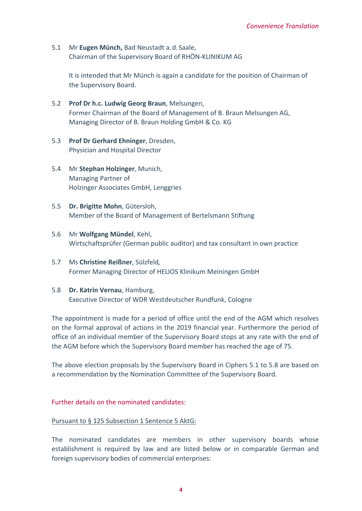5.1 Mr **Eugen Münch,** Bad Neustadt a.d.Saale, Chairman of the Supervisory Board of RHÖN‐KLINIKUM AG

It is intended that Mr Münch is again a candidate for the position of Chairman of the Supervisory Board.

- 5.2 **Prof Dr h.c. Ludwig Georg Braun**, Melsungen, Former Chairman of the Board of Management of B. Braun Melsungen AG, Managing Director of B. Braun Holding GmbH & Co. KG
- 5.3 **Prof Dr Gerhard Ehninger**, Dresden, Physician and Hospital Director
- 5.4 Mr **Stephan Holzinger**, Munich, Managing Partner of Holzinger Associates GmbH, Lenggries
- 5.5 **Dr. Brigitte Mohn**, Gütersloh, Member of the Board of Management of Bertelsmann Stiftung
- 5.6 Mr **Wolfgang Mündel**, Kehl, Wirtschaftsprüfer (German public auditor) and tax consultant in own practice
- 5.7 Ms **Christine Reißner**, Sülzfeld*,* Former Managing Director of HELIOS Klinikum Meiningen GmbH
- 5.8 **Dr. Katrin Vernau**, Hamburg, Executive Director of WDR Westdeutscher Rundfunk, Cologne

The appointment is made for a period of office until the end of the AGM which resolves on the formal approval of actions in the 2019 financial year. Furthermore the period of office of an individual member of the Supervisory Board stops at any rate with the end of the AGM before which the Supervisory Board member has reached the age of 75.

The above election proposals by the Supervisory Board in Ciphers 5.1 to 5.8 are based on a recommendation by the Nomination Committee of the Supervisory Board.

# Further details on the nominated candidates:

#### Pursuant to § 125 Subsection 1 Sentence 5 AktG:

The nominated candidates are members in other supervisory boards whose establishment is required by law and are listed below or in comparable German and foreign supervisory bodies of commercial enterprises: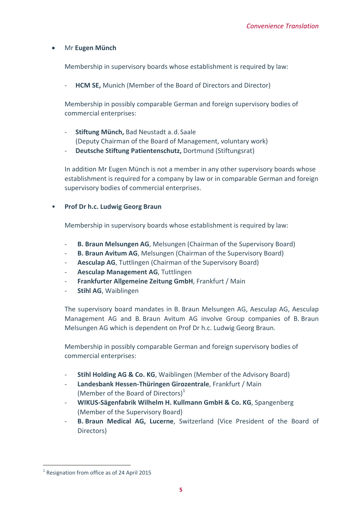# Mr **Eugen Münch**

Membership in supervisory boards whose establishment is required by law:

‐ **HCM SE,** Munich (Member of the Board of Directors and Director)

Membership in possibly comparable German and foreign supervisory bodies of commercial enterprises:

- ‐ **Stiftung Münch,** Bad Neustadt a.d.Saale (Deputy Chairman of the Board of Management, voluntary work)
- ‐ **Deutsche Stiftung Patientenschutz,** Dortmund (Stiftungsrat)

In addition Mr Eugen Münch is not a member in any other supervisory boards whose establishment is required for a company by law or in comparable German and foreign supervisory bodies of commercial enterprises.

#### • **Prof Dr h.c. Ludwig Georg Braun**

Membership in supervisory boards whose establishment is required by law:

- ‐ **B. Braun Melsungen AG**, Melsungen (Chairman of the Supervisory Board)
- ‐ **B. Braun Avitum AG**, Melsungen (Chairman of the Supervisory Board)
- ‐ **Aesculap AG**, Tuttlingen (Chairman of the Supervisory Board)
- ‐ **Aesculap Management AG**, Tuttlingen
- ‐ **Frankfurter Allgemeine Zeitung GmbH**, Frankfurt / Main
- ‐ **Stihl AG**, Waiblingen

The supervisory board mandates in B. Braun Melsungen AG, Aesculap AG, Aesculap Management AG and B. Braun Avitum AG involve Group companies of B. Braun Melsungen AG which is dependent on Prof Dr h.c. Ludwig Georg Braun.

Membership in possibly comparable German and foreign supervisory bodies of commercial enterprises:

- ‐ **Stihl Holding AG & Co. KG**, Waiblingen (Member of the Advisory Board)
- ‐ **Landesbank Hessen‐Thüringen Girozentrale**, Frankfurt / Main (Member of the Board of Directors) $1$
- ‐ **WIKUS‐Sägenfabrik Wilhelm H. Kullmann GmbH & Co. KG**, Spangenberg (Member of the Supervisory Board)
- ‐ **B. Braun Medical AG, Lucerne**, Switzerland (Vice President of the Board of Directors)

<sup>&</sup>lt;sup>1</sup> Resignation from office as of 24 April 2015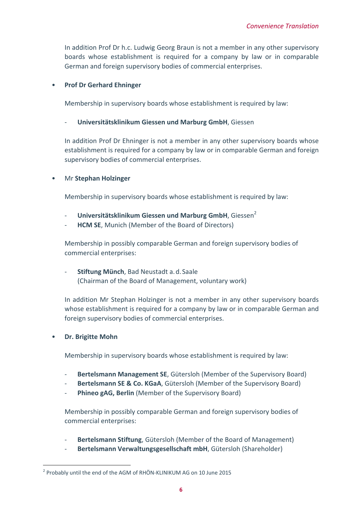In addition Prof Dr h.c. Ludwig Georg Braun is not a member in any other supervisory boards whose establishment is required for a company by law or in comparable German and foreign supervisory bodies of commercial enterprises.

#### • **Prof Dr Gerhard Ehninger**

Membership in supervisory boards whose establishment is required by law:

#### ‐ **Universitätsklinikum Giessen und Marburg GmbH**, Giessen

In addition Prof Dr Ehninger is not a member in any other supervisory boards whose establishment is required for a company by law or in comparable German and foreign supervisory bodies of commercial enterprises.

• Mr **Stephan Holzinger**

Membership in supervisory boards whose establishment is required by law:

- ‐ **Universitätsklinikum Giessen und Marburg GmbH**, Giessen2
- **HCM SE.** Munich (Member of the Board of Directors)

Membership in possibly comparable German and foreign supervisory bodies of commercial enterprises:

# ‐ **Stiftung Münch**, Bad Neustadt a.d.Saale (Chairman of the Board of Management, voluntary work)

In addition Mr Stephan Holzinger is not a member in any other supervisory boards whose establishment is required for a company by law or in comparable German and foreign supervisory bodies of commercial enterprises.

# • **Dr. Brigitte Mohn**

Membership in supervisory boards whose establishment is required by law:

- ‐ **Bertelsmann Management SE**, Gütersloh (Member of the Supervisory Board)
- ‐ **Bertelsmann SE & Co. KGaA**, Gütersloh (Member of the Supervisory Board)
- ‐ **Phineo gAG, Berlin** (Member of the Supervisory Board)

Membership in possibly comparable German and foreign supervisory bodies of commercial enterprises:

- ‐ **Bertelsmann Stiftung**, Gütersloh (Member of the Board of Management)
- ‐ **Bertelsmann Verwaltungsgesellschaft mbH**, Gütersloh (Shareholder)

<sup>&</sup>lt;sup>2</sup> Probably until the end of the AGM of RHÖN-KLINIKUM AG on 10 June 2015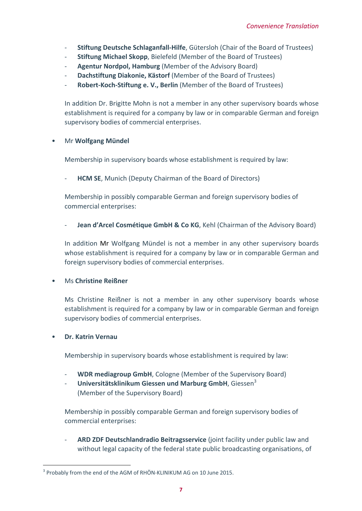- ‐ **Stiftung Deutsche Schlaganfall‐Hilfe**, Gütersloh (Chair of the Board of Trustees)
- ‐ **Stiftung Michael Skopp**, Bielefeld (Member of the Board of Trustees)
- ‐ **Agentur Nordpol, Hamburg** (Member of the Advisory Board)
- ‐ **Dachstiftung Diakonie, Kästorf** (Member of the Board of Trustees)
- ‐ **Robert‐Koch‐Stiftung e. V., Berlin** (Member of the Board of Trustees)

In addition Dr. Brigitte Mohn is not a member in any other supervisory boards whose establishment is required for a company by law or in comparable German and foreign supervisory bodies of commercial enterprises.

#### • Mr **Wolfgang Mündel**

Membership in supervisory boards whose establishment is required by law:

**HCM SE, Munich (Deputy Chairman of the Board of Directors)** 

Membership in possibly comparable German and foreign supervisory bodies of commercial enterprises:

‐ **Jean d'Arcel Cosmétique GmbH & Co KG**, Kehl (Chairman of the Advisory Board)

In addition Mr Wolfgang Mündel is not a member in any other supervisory boards whose establishment is required for a company by law or in comparable German and foreign supervisory bodies of commercial enterprises.

# • Ms **Christine Reißner**

Ms Christine Reißner is not a member in any other supervisory boards whose establishment is required for a company by law or in comparable German and foreign supervisory bodies of commercial enterprises.

# • **Dr. Katrin Vernau**

Membership in supervisory boards whose establishment is required by law:

- ‐ **WDR mediagroup GmbH**, Cologne (Member of the Supervisory Board)
- ‐ **Universitätsklinikum Giessen und Marburg GmbH**, Giessen3 (Member of the Supervisory Board)

Membership in possibly comparable German and foreign supervisory bodies of commercial enterprises:

‐ **ARD ZDF Deutschlandradio Beitragsservice** (joint facility under public law and without legal capacity of the federal state public broadcasting organisations, of

<sup>&</sup>lt;sup>3</sup> Probably from the end of the AGM of RHÖN-KLINIKUM AG on 10 June 2015.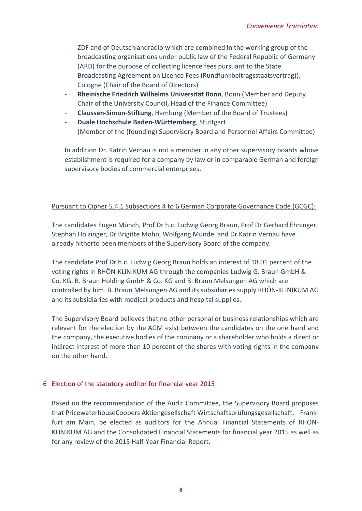ZDF and of Deutschlandradio which are combined in the working group of the broadcasting organisations under public law of the Federal Republic of Germany (ARD) for the purpose of collecting licence fees pursuant to the State Broadcasting Agreement on Licence Fees (Rundfunkbeitragsstaatsvertrag)), Cologne (Chair of the Board of Directors)

- ‐ **Rheinische Friedrich Wilhelms Universität Bonn**, Bonn (Member and Deputy Chair of the University Council, Head of the Finance Committee)
- ‐ **Claussen‐Simon‐Stiftung**, Hamburg (Member of the Board of Trustees)
- ‐ **Duale Hochschule Baden‐Württemberg**, Stuttgart (Member of the (founding) Supervisory Board and Personnel Affairs Committee)

In addition Dr. Katrin Vernau is not a member in any other supervisory boards whose establishment is required for a company by law or in comparable German and foreign supervisory bodies of commercial enterprises.

# Pursuant to Cipher 5.4.1 Subsections 4 to 6 German Corporate Governance Code (GCGC):

The candidates Eugen Münch, Prof Dr h.c. Ludwig Georg Braun, Prof Dr Gerhard Ehninger, Stephan Holzinger, Dr Brigitte Mohn, Wolfgang Mündel and Dr Katrin Vernau have already hitherto been members of the Supervisory Board of the company.

The candidate Prof Dr h.c. Ludwig Georg Braun holds an interest of 18.01 percent of the voting rights in RHÖN‐KLINIKUM AG through the companies Ludwig G. Braun GmbH & Co. KG, B. Braun Holding GmbH & Co. KG and B. Braun Melsungen AG which are controlled by him. B. Braun Melsungen AG and its subsidiaries supply RHÖN‐KLINIKUM AG and its subsidiaries with medical products and hospital supplies.

The Supervisory Board believes that no other personal or business relationships which are relevant for the election by the AGM exist between the candidates on the one hand and the company, the executive bodies of the company or a shareholder who holds a direct or indirect interest of more than 10 percent of the shares with voting rights in the company on the other hand.

# 6 Election of the statutory auditor for financial year 2015

Based on the recommendation of the Audit Committee, the Supervisory Board proposes that PricewaterhouseCoopers Aktiengesellschaft Wirtschaftsprüfungsgesellschaft, Frank‐ furt am Main, be elected as auditors for the Annual Financial Statements of RHÖN‐ KLINIKUM AG and the Consolidated Financial Statements for financial year 2015 as well as for any review of the 2015 Half‐Year Financial Report.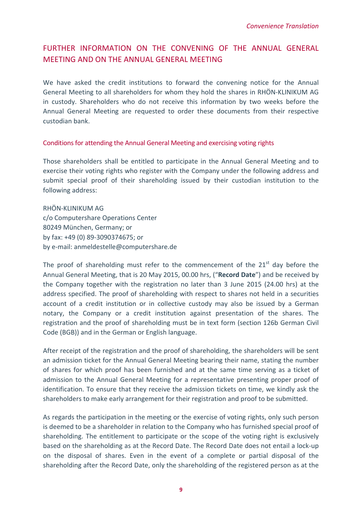# FURTHER INFORMATION ON THE CONVENING OF THE ANNUAL GENERAL MEETING AND ON THE ANNUAL GENERAL MEETING

We have asked the credit institutions to forward the convening notice for the Annual General Meeting to all shareholders for whom they hold the shares in RHÖN‐KLINIKUM AG in custody. Shareholders who do not receive this information by two weeks before the Annual General Meeting are requested to order these documents from their respective custodian bank.

#### Conditions for attending the Annual General Meeting and exercising voting rights

Those shareholders shall be entitled to participate in the Annual General Meeting and to exercise their voting rights who register with the Company under the following address and submit special proof of their shareholding issued by their custodian institution to the following address:

RHÖN‐KLINIKUM AG c/o Computershare Operations Center 80249 München, Germany; or by fax: +49 (0) 89‐3090374675; or by e‐mail: anmeldestelle@computershare.de

The proof of shareholding must refer to the commencement of the  $21<sup>st</sup>$  day before the Annual General Meeting, that is 20 May 2015, 00.00 hrs, ("**Record Date**") and be received by the Company together with the registration no later than 3 June 2015 (24.00 hrs) at the address specified. The proof of shareholding with respect to shares not held in a securities account of a credit institution or in collective custody may also be issued by a German notary, the Company or a credit institution against presentation of the shares. The registration and the proof of shareholding must be in text form (section 126b German Civil Code (BGB)) and in the German or English language.

After receipt of the registration and the proof of shareholding, the shareholders will be sent an admission ticket for the Annual General Meeting bearing their name, stating the number of shares for which proof has been furnished and at the same time serving as a ticket of admission to the Annual General Meeting for a representative presenting proper proof of identification. To ensure that they receive the admission tickets on time, we kindly ask the shareholders to make early arrangement for their registration and proof to be submitted.

As regards the participation in the meeting or the exercise of voting rights, only such person is deemed to be a shareholder in relation to the Company who has furnished special proof of shareholding. The entitlement to participate or the scope of the voting right is exclusively based on the shareholding as at the Record Date. The Record Date does not entail a lock‐up on the disposal of shares. Even in the event of a complete or partial disposal of the shareholding after the Record Date, only the shareholding of the registered person as at the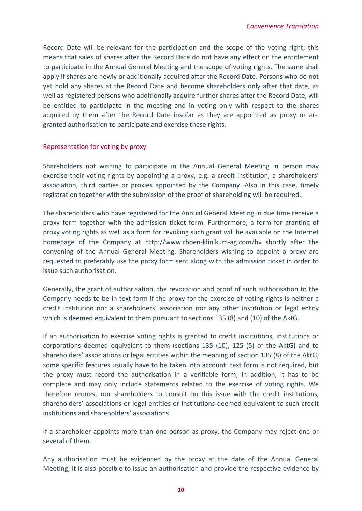Record Date will be relevant for the participation and the scope of the voting right; this means that sales of shares after the Record Date do not have any effect on the entitlement to participate in the Annual General Meeting and the scope of voting rights. The same shall apply if shares are newly or additionally acquired after the Record Date. Persons who do not yet hold any shares at the Record Date and become shareholders only after that date, as well as registered persons who additionally acquire further shares after the Record Date, will be entitled to participate in the meeting and in voting only with respect to the shares acquired by them after the Record Date insofar as they are appointed as proxy or are granted authorisation to participate and exercise these rights.

#### Representation for voting by proxy

Shareholders not wishing to participate in the Annual General Meeting in person may exercise their voting rights by appointing a proxy, e.g. a credit institution, a shareholders' association, third parties or proxies appointed by the Company. Also in this case, timely registration together with the submission of the proof of shareholding will be required.

The shareholders who have registered for the Annual General Meeting in due time receive a proxy form together with the admission ticket form. Furthermore, a form for granting of proxy voting rights as well as a form for revoking such grant will be available on the Internet homepage of the Company at http://www.rhoen‐klinikum‐ag.com/hv shortly after the convening of the Annual General Meeting. Shareholders wishing to appoint a proxy are requested to preferably use the proxy form sent along with the admission ticket in order to issue such authorisation.

Generally, the grant of authorisation, the revocation and proof of such authorisation to the Company needs to be in text form if the proxy for the exercise of voting rights is neither a credit institution nor a shareholders' association nor any other institution or legal entity which is deemed equivalent to them pursuant to sections 135 (8) and (10) of the AktG.

If an authorisation to exercise voting rights is granted to credit institutions, institutions or corporations deemed equivalent to them (sections 135 (10), 125 (5) of the AktG) and to shareholders' associations or legal entities within the meaning of section 135 (8) of the AktG, some specific features usually have to be taken into account: text form is not required, but the proxy must record the authorisation in a verifiable form; in addition, it has to be complete and may only include statements related to the exercise of voting rights. We therefore request our shareholders to consult on this issue with the credit institutions, shareholders' associations or legal entities or institutions deemed equivalent to such credit institutions and shareholders' associations.

If a shareholder appoints more than one person as proxy, the Company may reject one or several of them.

Any authorisation must be evidenced by the proxy at the date of the Annual General Meeting; it is also possible to issue an authorisation and provide the respective evidence by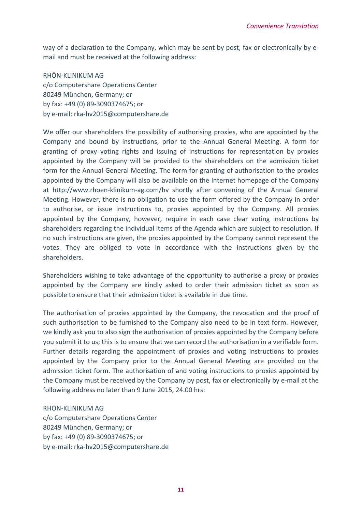way of a declaration to the Company, which may be sent by post, fax or electronically by e‐ mail and must be received at the following address:

RHÖN‐KLINIKUM AG c/o Computershare Operations Center 80249 München, Germany; or by fax: +49 (0) 89‐3090374675; or by e‐mail: rka‐hv2015@computershare.de

We offer our shareholders the possibility of authorising proxies, who are appointed by the Company and bound by instructions, prior to the Annual General Meeting. A form for granting of proxy voting rights and issuing of instructions for representation by proxies appointed by the Company will be provided to the shareholders on the admission ticket form for the Annual General Meeting. The form for granting of authorisation to the proxies appointed by the Company will also be available on the Internet homepage of the Company at http://www.rhoen‐klinikum‐ag.com/hv shortly after convening of the Annual General Meeting. However, there is no obligation to use the form offered by the Company in order to authorise, or issue instructions to, proxies appointed by the Company. All proxies appointed by the Company, however, require in each case clear voting instructions by shareholders regarding the individual items of the Agenda which are subject to resolution. If no such instructions are given, the proxies appointed by the Company cannot represent the votes. They are obliged to vote in accordance with the instructions given by the shareholders.

Shareholders wishing to take advantage of the opportunity to authorise a proxy or proxies appointed by the Company are kindly asked to order their admission ticket as soon as possible to ensure that their admission ticket is available in due time.

The authorisation of proxies appointed by the Company, the revocation and the proof of such authorisation to be furnished to the Company also need to be in text form. However, we kindly ask you to also sign the authorisation of proxies appointed by the Company before you submit it to us; this is to ensure that we can record the authorisation in a verifiable form. Further details regarding the appointment of proxies and voting instructions to proxies appointed by the Company prior to the Annual General Meeting are provided on the admission ticket form. The authorisation of and voting instructions to proxies appointed by the Company must be received by the Company by post, fax or electronically by e‐mail at the following address no later than 9 June 2015, 24.00 hrs:

RHÖN‐KLINIKUM AG

c/o Computershare Operations Center 80249 München, Germany; or by fax: +49 (0) 89‐3090374675; or by e‐mail: rka‐hv2015@computershare.de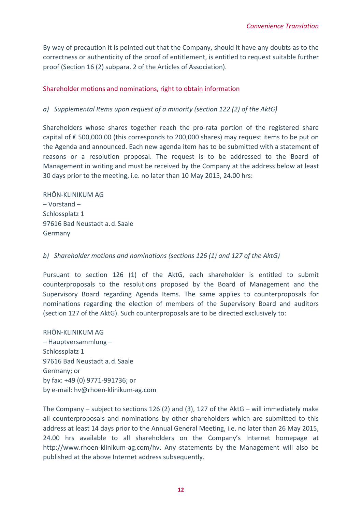By way of precaution it is pointed out that the Company, should it have any doubts as to the correctness or authenticity of the proof of entitlement, is entitled to request suitable further proof (Section 16 (2) subpara. 2 of the Articles of Association).

# Shareholder motions and nominations, right to obtain information

## *a) Supplemental Items upon request of a minority (section 122 (2) of the AktG)*

Shareholders whose shares together reach the pro-rata portion of the registered share capital of  $\epsilon$  500,000.00 (this corresponds to 200,000 shares) may request items to be put on the Agenda and announced. Each new agenda item has to be submitted with a statement of reasons or a resolution proposal. The request is to be addressed to the Board of Management in writing and must be received by the Company at the address below at least 30 days prior to the meeting, i.e. no later than 10 May 2015, 24.00 hrs:

RHÖN‐KLINIKUM AG – Vorstand – Schlossplatz 1 97616 Bad Neustadt a.d.Saale Germany

#### *b) Shareholder motions and nominations (sections 126 (1) and 127 of the AktG)*

Pursuant to section 126 (1) of the AktG, each shareholder is entitled to submit counterproposals to the resolutions proposed by the Board of Management and the Supervisory Board regarding Agenda Items. The same applies to counterproposals for nominations regarding the election of members of the Supervisory Board and auditors (section 127 of the AktG). Such counterproposals are to be directed exclusively to:

RHÖN‐KLINIKUM AG – Hauptversammlung – Schlossplatz 1 97616 Bad Neustadt a.d.Saale Germany; or by fax: +49 (0) 9771‐991736; or by e‐mail: hv@rhoen‐klinikum‐ag.com

The Company – subject to sections 126 (2) and (3), 127 of the AktG – will immediately make all counterproposals and nominations by other shareholders which are submitted to this address at least 14 days prior to the Annual General Meeting, i.e. no later than 26 May 2015, 24.00 hrs available to all shareholders on the Company's Internet homepage at http://www.rhoen-klinikum-ag.com/hv. Any statements by the Management will also be published at the above Internet address subsequently.